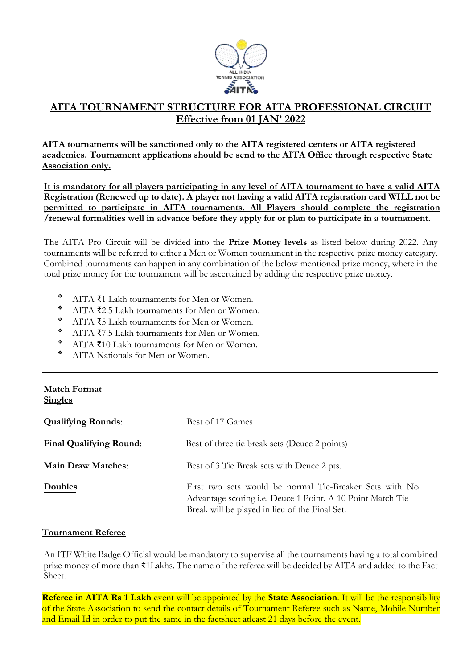

# **AITA TOURNAMENT STRUCTURE FOR AITA PROFESSIONAL CIRCUIT Effective from 01 JAN' 2022**

**AITA tournaments will be sanctioned only to the AITA registered centers or AITA registered academies. Tournament applications should be send to the AITA Office through respective State Association only.** 

**It is mandatory for all players participating in any level of AITA tournament to have a valid AITA Registration (Renewed up to date). A player not having a valid AITA registration card WILL not be permitted to participate in AITA tournaments. All Players should complete the registration /renewal formalities well in advance before they apply for or plan to participate in a tournament.**

The AITA Pro Circuit will be divided into the **Prize Money levels** as listed below during 2022. Any tournaments will be referred to either a Men or Women tournament in the respective prize money category. Combined tournaments can happen in any combination of the below mentioned prize money, where in the total prize money for the tournament will be ascertained by adding the respective prize money.

- ❖ AITA ₹1 Lakh tournaments for Men or Women.
- ❖ AITA ₹2.5 Lakh tournaments for Men or Women.
- ❖ AITA ₹5 Lakh tournaments for Men or Women.
- $\frac{\text{AITA}}{\text{AITA}}$  ₹7.5 Lakh tournaments for Men or Women.
- $\bullet$  AITA ₹10 Lakh tournaments for Men or Women.
- ❖ AITA Nationals for Men or Women.

# **Match Format Singles**

| <b>Qualifying Rounds:</b>      | Best of 17 Games                                                                                                                                                        |
|--------------------------------|-------------------------------------------------------------------------------------------------------------------------------------------------------------------------|
| <b>Final Qualifying Round:</b> | Best of three tie break sets (Deuce 2 points)                                                                                                                           |
| <b>Main Draw Matches:</b>      | Best of 3 Tie Break sets with Deuce 2 pts.                                                                                                                              |
| Doubles                        | First two sets would be normal Tie-Breaker Sets with No<br>Advantage scoring i.e. Deuce 1 Point. A 10 Point Match Tie<br>Break will be played in lieu of the Final Set. |

# **Tournament Referee**

An ITF White Badge Official would be mandatory to supervise all the tournaments having a total combined prize money of more than ₹1Lakhs. The name of the referee will be decided by AITA and added to the Fact Sheet.

**Referee in AITA Rs 1 Lakh** event will be appointed by the **State Association**. It will be the responsibility of the State Association to send the contact details of Tournament Referee such as Name, Mobile Number and Email Id in order to put the same in the factsheet atleast 21 days before the event.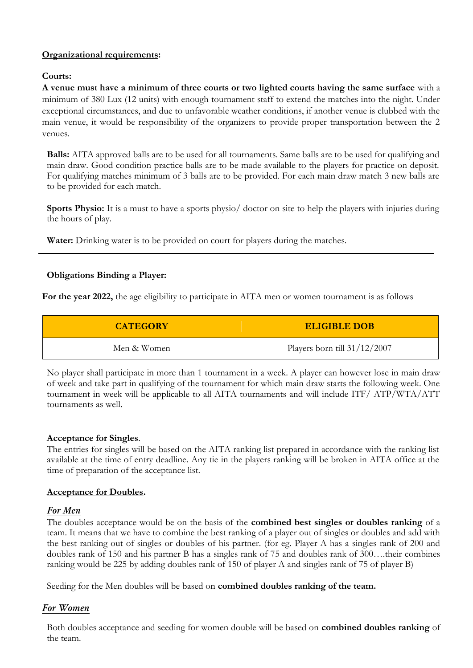# **Organizational requirements:**

# **Courts:**

**A venue must have a minimum of three courts or two lighted courts having the same surface** with a minimum of 380 Lux (12 units) with enough tournament staff to extend the matches into the night. Under exceptional circumstances, and due to unfavorable weather conditions, if another venue is clubbed with the main venue, it would be responsibility of the organizers to provide proper transportation between the 2 venues.

**Balls:** AITA approved balls are to be used for all tournaments. Same balls are to be used for qualifying and main draw. Good condition practice balls are to be made available to the players for practice on deposit. For qualifying matches minimum of 3 balls are to be provided. For each main draw match 3 new balls are to be provided for each match.

**Sports Physio:** It is a must to have a sports physio/ doctor on site to help the players with injuries during the hours of play.

**Water:** Drinking water is to be provided on court for players during the matches.

# **Obligations Binding a Player:**

**For the year 2022,** the age eligibility to participate in AITA men or women tournament is as follows

| <b>CATEGORY</b> | <b>ELIGIBLE DOB</b>            |  |
|-----------------|--------------------------------|--|
| Men & Women     | Players born till $31/12/2007$ |  |

No player shall participate in more than 1 tournament in a week. A player can however lose in main draw of week and take part in qualifying of the tournament for which main draw starts the following week. One tournament in week will be applicable to all AITA tournaments and will include ITF/ ATP/WTA/ATT tournaments as well.

# **Acceptance for Singles**.

The entries for singles will be based on the AITA ranking list prepared in accordance with the ranking list available at the time of entry deadline. Any tie in the players ranking will be broken in AITA office at the time of preparation of the acceptance list.

# **Acceptance for Doubles.**

# *For Men*

The doubles acceptance would be on the basis of the **combined best singles or doubles ranking** of a team. It means that we have to combine the best ranking of a player out of singles or doubles and add with the best ranking out of singles or doubles of his partner. (for eg. Player A has a singles rank of 200 and doubles rank of 150 and his partner B has a singles rank of 75 and doubles rank of 300….their combines ranking would be 225 by adding doubles rank of 150 of player A and singles rank of 75 of player B)

Seeding for the Men doubles will be based on **combined doubles ranking of the team.**

# *For Women*

Both doubles acceptance and seeding for women double will be based on **combined doubles ranking** of the team.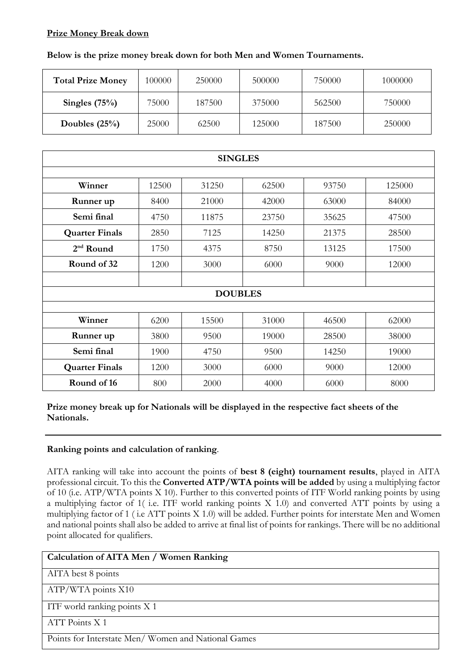# **Prize Money Break down**

# **Below is the prize money break down for both Men and Women Tournaments.**

| <b>Total Prize Money</b> | 100000 | 250000 | 500000 | 750000 | 1000000 |
|--------------------------|--------|--------|--------|--------|---------|
| Singles $(75%)$          | 75000  | 187500 | 375000 | 562500 | 750000  |
| Doubles $(25%)$          | 25000  | 62500  | 125000 | 187500 | 250000  |

| <b>SINGLES</b>        |       |       |       |       |        |
|-----------------------|-------|-------|-------|-------|--------|
|                       |       |       |       |       |        |
| Winner                | 12500 | 31250 | 62500 | 93750 | 125000 |
| Runner up             | 8400  | 21000 | 42000 | 63000 | 84000  |
| Semi final            | 4750  | 11875 | 23750 | 35625 | 47500  |
| <b>Quarter Finals</b> | 2850  | 7125  | 14250 | 21375 | 28500  |
| $2nd$ Round           | 1750  | 4375  | 8750  | 13125 | 17500  |
| Round of 32           | 1200  | 3000  | 6000  | 9000  | 12000  |
|                       |       |       |       |       |        |
| <b>DOUBLES</b>        |       |       |       |       |        |
|                       |       |       |       |       |        |
| Winner                | 6200  | 15500 | 31000 | 46500 | 62000  |
| Runner up             | 3800  | 9500  | 19000 | 28500 | 38000  |
| Semi final            | 1900  | 4750  | 9500  | 14250 | 19000  |
| <b>Quarter Finals</b> | 1200  | 3000  | 6000  | 9000  | 12000  |
| Round of 16           | 800   | 2000  | 4000  | 6000  | 8000   |

**Prize money break up for Nationals will be displayed in the respective fact sheets of the Nationals.**

# **Ranking points and calculation of ranking**.

AITA ranking will take into account the points of **best 8 (eight) tournament results**, played in AITA professional circuit. To this the **Converted ATP/WTA points will be added** by using a multiplying factor of 10 (i.e. ATP/WTA points X 10). Further to this converted points of ITF World ranking points by using a multiplying factor of 1( i.e. ITF world ranking points X 1.0) and converted ATT points by using a multiplying factor of 1 ( i.e ATT points X 1.0) will be added. Further points for interstate Men and Women and national points shall also be added to arrive at final list of points for rankings. There will be no additional point allocated for qualifiers.

| Calculation of AITA Men / Women Ranking            |
|----------------------------------------------------|
| AITA best 8 points                                 |
| ATP/WTA points X10                                 |
| ITF world ranking points X 1                       |
| ATT Points X 1                                     |
| Points for Interstate Men/Women and National Games |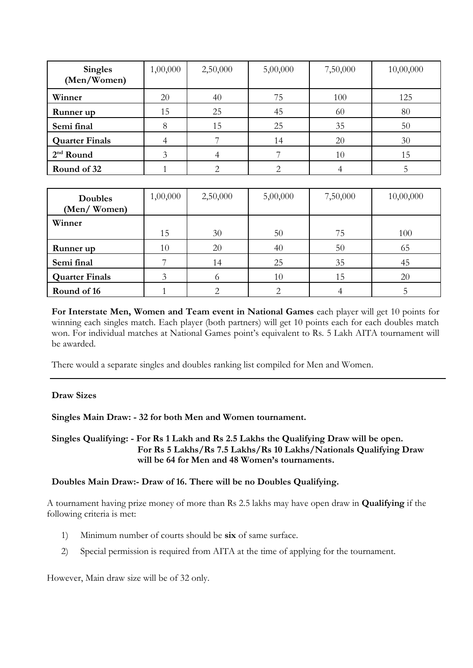| <b>Singles</b><br>(Men/Women) | 1,00,000 | 2,50,000 | 5,00,000 | 7,50,000 | 10,00,000 |
|-------------------------------|----------|----------|----------|----------|-----------|
| Winner                        | 20       | 40       | 75       | 100      | 125       |
| Runner up                     | 15       | 25       | 45       | 60       | 80        |
| Semi final                    | 8        | 15       | 25       | 35       | 50        |
| <b>Quarter Finals</b>         |          |          | 14       | 20       | 30        |
| $2nd$ Round                   | 3        |          |          | 10       | 15        |
| Round of 32                   |          |          |          |          |           |

| <b>Doubles</b><br>(Men/Women) | 1,00,000 | 2,50,000 | 5,00,000 | 7,50,000 | 10,00,000 |
|-------------------------------|----------|----------|----------|----------|-----------|
| Winner                        | 15       | 30       | 50       | 75       | 100       |
| Runner up                     | 10       | 20       | 40       | 50       | 65        |
| Semi final                    |          | 14       | 25       | 35       | 45        |
| <b>Quarter Finals</b>         |          |          | 10       | 15       | 20        |
| Round of 16                   |          |          |          |          |           |

**For Interstate Men, Women and Team event in National Games** each player will get 10 points for winning each singles match. Each player (both partners) will get 10 points each for each doubles match won. For individual matches at National Games point's equivalent to Rs. 5 Lakh AITA tournament will be awarded.

There would a separate singles and doubles ranking list compiled for Men and Women.

# **Draw Sizes**

**Singles Main Draw: - 32 for both Men and Women tournament.**

**Singles Qualifying: - For Rs 1 Lakh and Rs 2.5 Lakhs the Qualifying Draw will be open. For Rs 5 Lakhs/Rs 7.5 Lakhs/Rs 10 Lakhs/Nationals Qualifying Draw will be 64 for Men and 48 Women's tournaments.**

# **Doubles Main Draw:- Draw of 16. There will be no Doubles Qualifying.**

A tournament having prize money of more than Rs 2.5 lakhs may have open draw in **Qualifying** if the following criteria is met:

- 1) Minimum number of courts should be **six** of same surface.
- 2) Special permission is required from AITA at the time of applying for the tournament.

However, Main draw size will be of 32 only.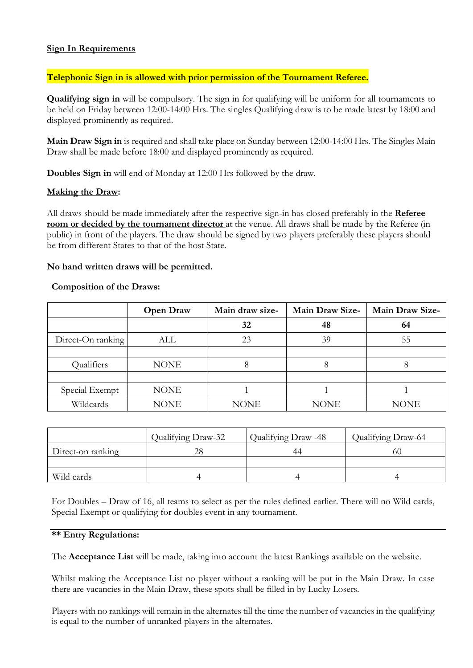# **Sign In Requirements**

# **Telephonic Sign in is allowed with prior permission of the Tournament Referee.**

**Qualifying sign in** will be compulsory. The sign in for qualifying will be uniform for all tournaments to be held on Friday between 12:00-14:00 Hrs. The singles Qualifying draw is to be made latest by 18:00 and displayed prominently as required.

**Main Draw Sign in** is required and shall take place on Sunday between 12:00-14:00 Hrs. The Singles Main Draw shall be made before 18:00 and displayed prominently as required.

**Doubles Sign in** will end of Monday at 12:00 Hrs followed by the draw.

# **Making the Draw:**

All draws should be made immediately after the respective sign-in has closed preferably in the **Referee room or decided by the tournament director** at the venue. All draws shall be made by the Referee (in public) in front of the players. The draw should be signed by two players preferably these players should be from different States to that of the host State.

# **No hand written draws will be permitted.**

#### **Composition of the Draws:**

|                   | <b>Open Draw</b> | Main draw size- | <b>Main Draw Size-</b> | <b>Main Draw Size-</b> |
|-------------------|------------------|-----------------|------------------------|------------------------|
|                   |                  | 32              | 48                     | 64                     |
| Direct-On ranking | ALL              | 23              | 39                     | 55                     |
|                   |                  |                 |                        |                        |
| Qualifiers        | <b>NONE</b>      |                 | 8                      |                        |
|                   |                  |                 |                        |                        |
| Special Exempt    | <b>NONE</b>      |                 |                        |                        |
| Wildcards         | NONE             | <b>NONE</b>     | <b>NONE</b>            | NONE                   |

|                   | Qualifying Draw-32 | Qualifying Draw -48 | Qualifying Draw-64 |
|-------------------|--------------------|---------------------|--------------------|
| Direct-on ranking | 28                 |                     | 6С.                |
|                   |                    |                     |                    |
| Wild cards        |                    |                     |                    |

For Doubles – Draw of 16, all teams to select as per the rules defined earlier. There will no Wild cards, Special Exempt or qualifying for doubles event in any tournament.

#### **\*\* Entry Regulations:**

The **Acceptance List** will be made, taking into account the latest Rankings available on the website.

Whilst making the Acceptance List no player without a ranking will be put in the Main Draw. In case there are vacancies in the Main Draw, these spots shall be filled in by Lucky Losers.

Players with no rankings will remain in the alternates till the time the number of vacancies in the qualifying is equal to the number of unranked players in the alternates.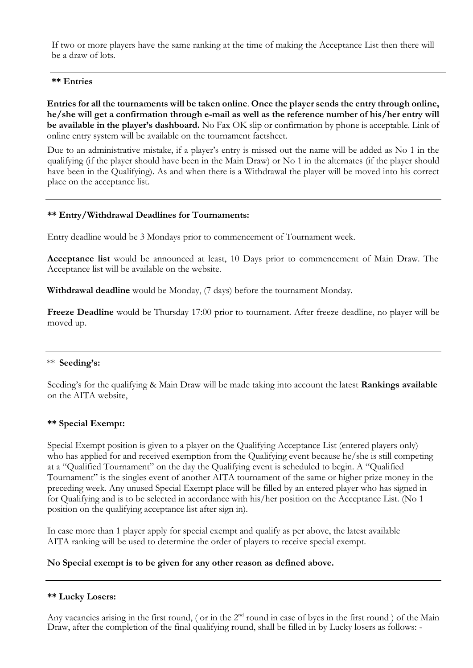If two or more players have the same ranking at the time of making the Acceptance List then there will be a draw of lots.

#### **\*\* Entries**

**Entries for all the tournaments will be taken online**. **Once the player sends the entry through online, he/she will get a confirmation through e-mail as well as the reference number of his/her entry will be available in the player's dashboard.** No Fax OK slip or confirmation by phone is acceptable. Link of online entry system will be available on the tournament factsheet.

Due to an administrative mistake, if a player's entry is missed out the name will be added as No 1 in the qualifying (if the player should have been in the Main Draw) or No 1 in the alternates (if the player should have been in the Qualifying). As and when there is a Withdrawal the player will be moved into his correct place on the acceptance list.

#### **\*\* Entry/Withdrawal Deadlines for Tournaments:**

Entry deadline would be 3 Mondays prior to commencement of Tournament week.

**Acceptance list** would be announced at least, 10 Days prior to commencement of Main Draw. The Acceptance list will be available on the website.

**Withdrawal deadline** would be Monday, (7 days) before the tournament Monday.

**Freeze Deadline** would be Thursday 17:00 prior to tournament. After freeze deadline, no player will be moved up.

#### \*\* **Seeding's:**

Seeding's for the qualifying & Main Draw will be made taking into account the latest **Rankings available**  on the AITA website,

# **\*\* Special Exempt:**

Special Exempt position is given to a player on the Qualifying Acceptance List (entered players only) who has applied for and received exemption from the Qualifying event because he/she is still competing at a "Qualified Tournament" on the day the Qualifying event is scheduled to begin. A "Qualified Tournament" is the singles event of another AITA tournament of the same or higher prize money in the preceding week. Any unused Special Exempt place will be filled by an entered player who has signed in for Qualifying and is to be selected in accordance with his/her position on the Acceptance List. (No 1 position on the qualifying acceptance list after sign in).

In case more than 1 player apply for special exempt and qualify as per above, the latest available AITA ranking will be used to determine the order of players to receive special exempt.

# **No Special exempt is to be given for any other reason as defined above.**

# **\*\* Lucky Losers:**

Any vacancies arising in the first round, ( or in the 2<sup>nd</sup> round in case of byes in the first round ) of the Main Draw, after the completion of the final qualifying round, shall be filled in by Lucky losers as follows: -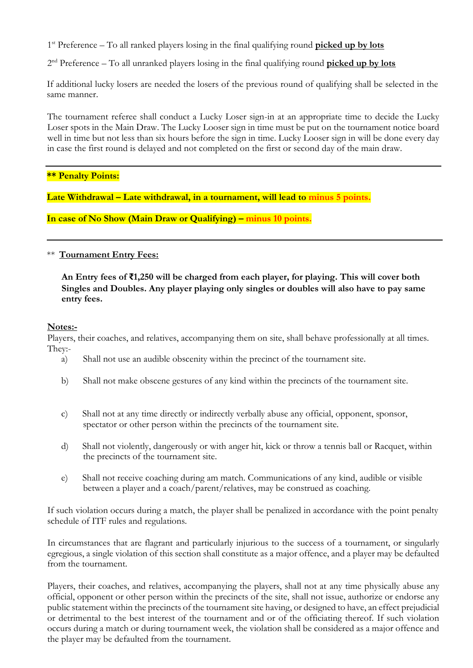1<sup>st</sup> Preference – To all ranked players losing in the final qualifying round **picked up by lots** 

2 nd Preference – To all unranked players losing in the final qualifying round **picked up by lots**

If additional lucky losers are needed the losers of the previous round of qualifying shall be selected in the same manner.

The tournament referee shall conduct a Lucky Loser sign-in at an appropriate time to decide the Lucky Loser spots in the Main Draw. The Lucky Looser sign in time must be put on the tournament notice board well in time but not less than six hours before the sign in time. Lucky Looser sign in will be done every day in case the first round is delayed and not completed on the first or second day of the main draw.

# **\*\* Penalty Points:**

Late Withdrawal – Late withdrawal, in a tournament, will lead to minus 5 points.

**In case of No Show (Main Draw or Qualifying) – minus 10 points.**

\*\* **Tournament Entry Fees:**

 **An Entry fees of ₹1,250 will be charged from each player, for playing. This will cover both Singles and Doubles. Any player playing only singles or doubles will also have to pay same entry fees.**

# **Notes:-**

Players, their coaches, and relatives, accompanying them on site, shall behave professionally at all times. They:-

- a) Shall not use an audible obscenity within the precinct of the tournament site.
- b) Shall not make obscene gestures of any kind within the precincts of the tournament site.
- c) Shall not at any time directly or indirectly verbally abuse any official, opponent, sponsor, spectator or other person within the precincts of the tournament site.
- d) Shall not violently, dangerously or with anger hit, kick or throw a tennis ball or Racquet, within the precincts of the tournament site.
- e) Shall not receive coaching during am match. Communications of any kind, audible or visible between a player and a coach/parent/relatives, may be construed as coaching.

If such violation occurs during a match, the player shall be penalized in accordance with the point penalty schedule of ITF rules and regulations.

In circumstances that are flagrant and particularly injurious to the success of a tournament, or singularly egregious, a single violation of this section shall constitute as a major offence, and a player may be defaulted from the tournament.

Players, their coaches, and relatives, accompanying the players, shall not at any time physically abuse any official, opponent or other person within the precincts of the site, shall not issue, authorize or endorse any public statement within the precincts of the tournament site having, or designed to have, an effect prejudicial or detrimental to the best interest of the tournament and or of the officiating thereof. If such violation occurs during a match or during tournament week, the violation shall be considered as a major offence and the player may be defaulted from the tournament.